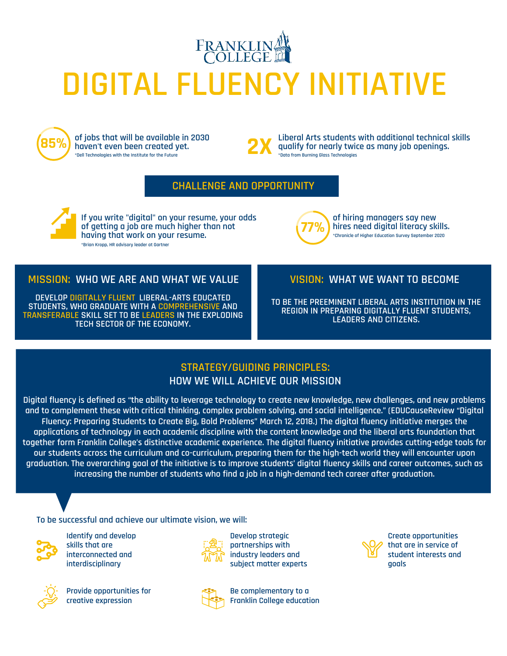



**of jobs that will be available in 2030 haven't even been created yet. \*Dell Technologies with the Institute for the Future**



**2X** Liberal Arts students with additional technical skills<br>and for nearly twice as many job openings.<br>rota from Burning Glass Technologies **qualify for nearly twice as many job openings. \*Data from Burning Glass Technologies**

## **CHALLENGE AND OPPORTUNITY**



**If you write "digital" on your resume, your odds of getting a job are much higher than not having that work on your resume. \*Brian Kropp, HR advisory leader at Gartner**



**of hiring managers say new hires need digital literacy skills. \*Chronicle of Higher Education Survey September 2020**

## **MISSION: WHO WE ARE AND WHAT WE VALUE**

**DEVELOP DIGITALLY FLUENT, LIBERAL-ARTS EDUCATED STUDENTS, WHO GRADUATE WITH A COMPREHENSIVE AND TRANSFERABLE SKILL SET TO BE LEADERS IN THE EXPLODING TECH SECTOR OF THE ECONOMY.**

## **VISION: WHAT WE WANT TO BECOME**

**TO BE THE PREEMINENT LIBERAL ARTS INSTITUTION IN THE REGION IN PREPARING DIGITALLY FLUENT STUDENTS, LEADERS AND CITIZENS.**

## **STRATEGY/GUIDING PRINCIPLES: HOW WE WILL ACHIEVE OUR MISSION**

**Digital fluency is defined as "the ability to leverage technology to create new knowledge, new challenges, and new problems and to complement these with critical thinking, complex problem solving, and social intelligence." (EDUCauseReview "Digital Fluency: Preparing Students to Create Big, Bold Problems" March 12, 2018.) The digital fluency initiative merges the applications of technology in each academic discipline with the content knowledge and the liberal arts foundation that together form Franklin College's distinctive academic experience. The digital fluency initiative provides cutting-edge tools for our students across the curriculum and co-curriculum, preparing them for the high-tech world they will encounter upon graduation. The overarching goal of the initiative is to improve students' digital fluency skills and career outcomes, such as increasing the number of students who find a job in a high-demand tech career after graduation.**

**To be successful and achieve our ultimate vision, we will:**



**Identify and develop skills that are interconnected and interdisciplinary**



**Provide opportunities for creative expression**



**Develop strategic partnerships with industry leaders and subject matter experts**



**Be complementary to a Franklin College education**



**Create opportunities that are in service of student interests and goals**